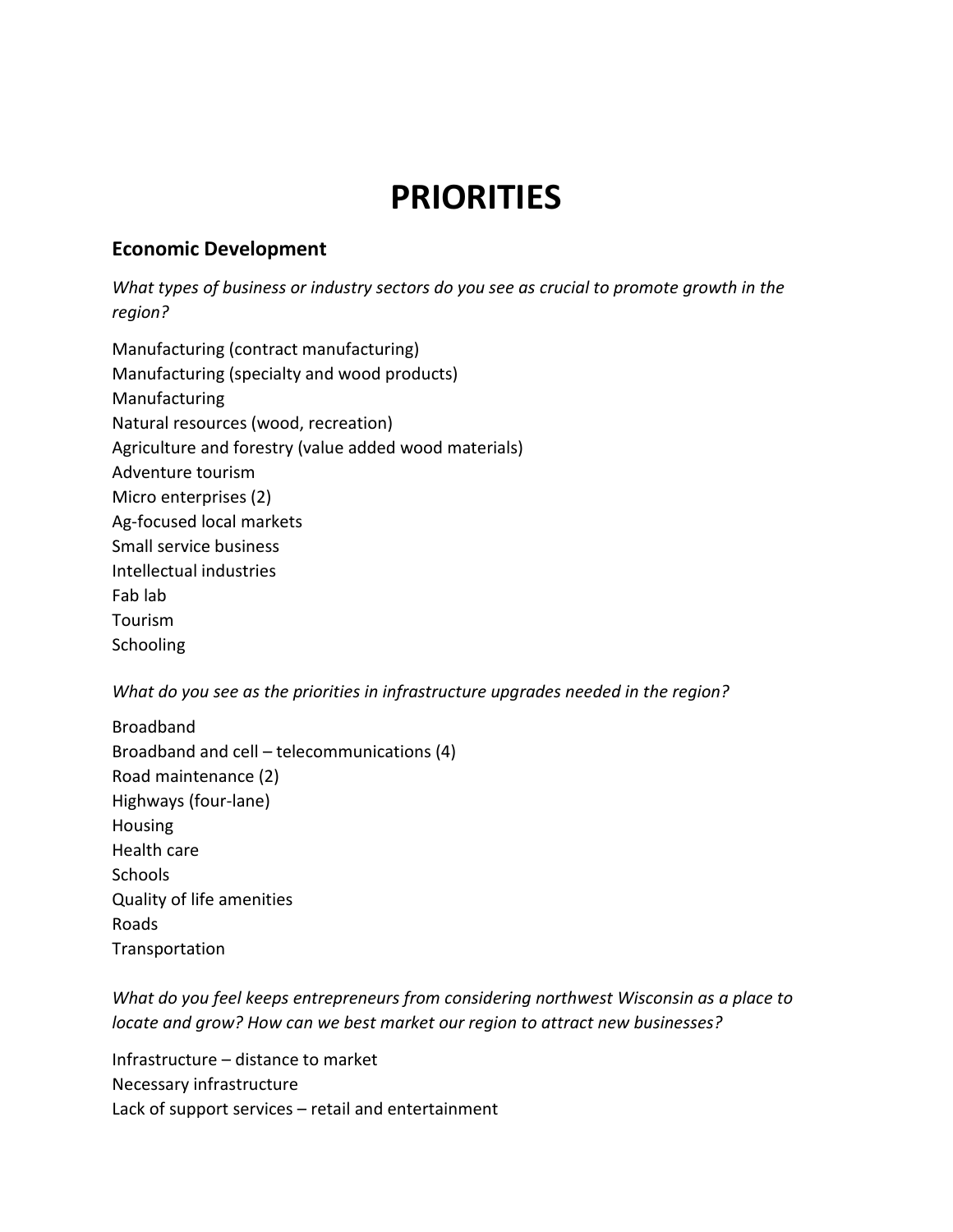# **PRIORITIES**

#### **Economic Development**

*What types of business or industry sectors do you see as crucial to promote growth in the region?*

Manufacturing (contract manufacturing) Manufacturing (specialty and wood products) Manufacturing Natural resources (wood, recreation) Agriculture and forestry (value added wood materials) Adventure tourism Micro enterprises (2) Ag-focused local markets Small service business Intellectual industries Fab lab Tourism **Schooling** 

*What do you see as the priorities in infrastructure upgrades needed in the region?*

Broadband Broadband and cell – telecommunications (4) Road maintenance (2) Highways (four-lane) Housing Health care **Schools** Quality of life amenities Roads Transportation

*What do you feel keeps entrepreneurs from considering northwest Wisconsin as a place to locate and grow? How can we best market our region to attract new businesses?*

Infrastructure – distance to market Necessary infrastructure Lack of support services – retail and entertainment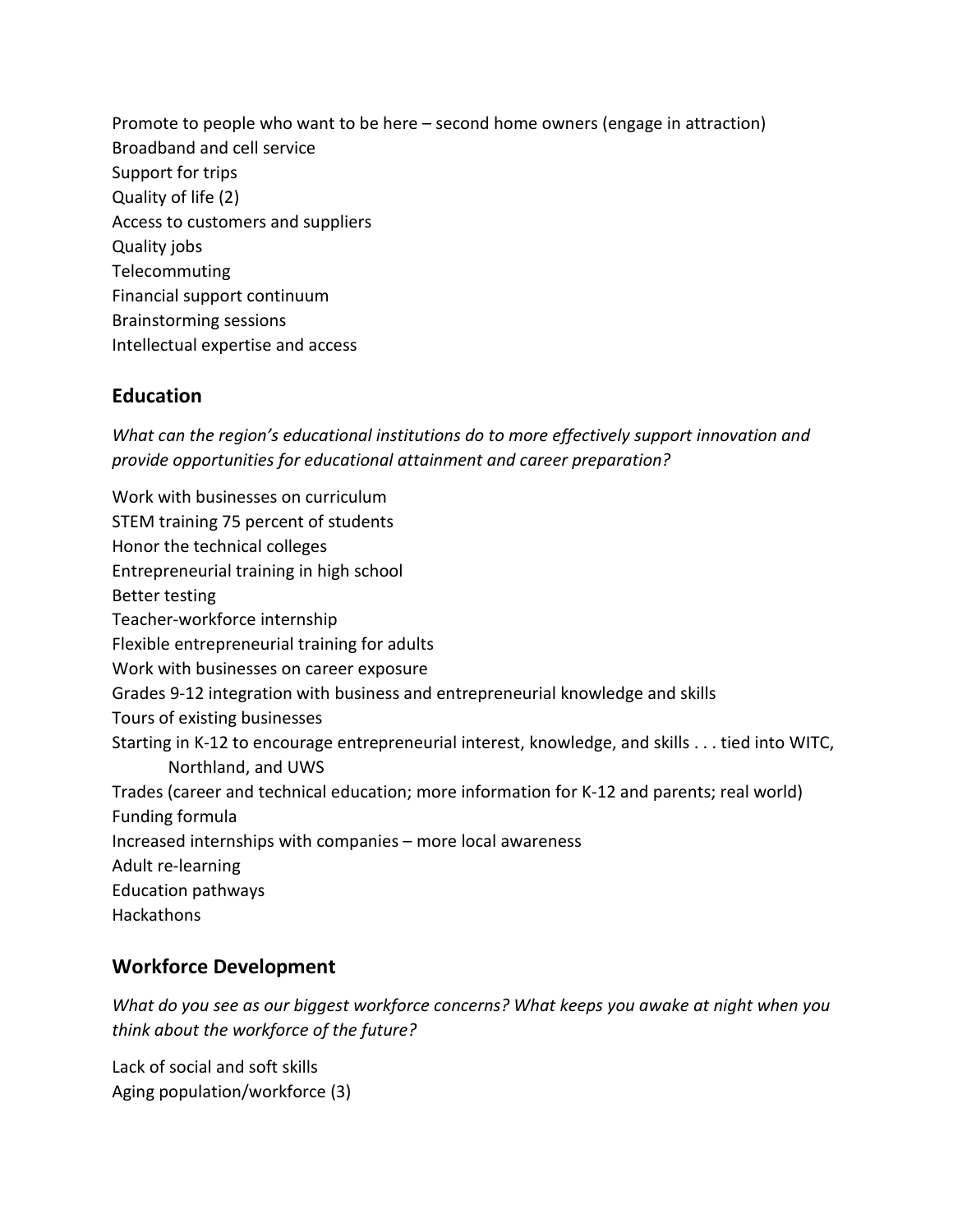Promote to people who want to be here – second home owners (engage in attraction) Broadband and cell service Support for trips Quality of life (2) Access to customers and suppliers Quality jobs Telecommuting Financial support continuum Brainstorming sessions Intellectual expertise and access

### **Education**

*What can the region's educational institutions do to more effectively support innovation and provide opportunities for educational attainment and career preparation?*

Work with businesses on curriculum STEM training 75 percent of students Honor the technical colleges Entrepreneurial training in high school Better testing Teacher-workforce internship Flexible entrepreneurial training for adults Work with businesses on career exposure Grades 9-12 integration with business and entrepreneurial knowledge and skills Tours of existing businesses Starting in K-12 to encourage entrepreneurial interest, knowledge, and skills . . . tied into WITC, Northland, and UWS Trades (career and technical education; more information for K-12 and parents; real world) Funding formula Increased internships with companies – more local awareness Adult re-learning Education pathways **Hackathons** 

## **Workforce Development**

*What do you see as our biggest workforce concerns? What keeps you awake at night when you think about the workforce of the future?*

Lack of social and soft skills Aging population/workforce (3)